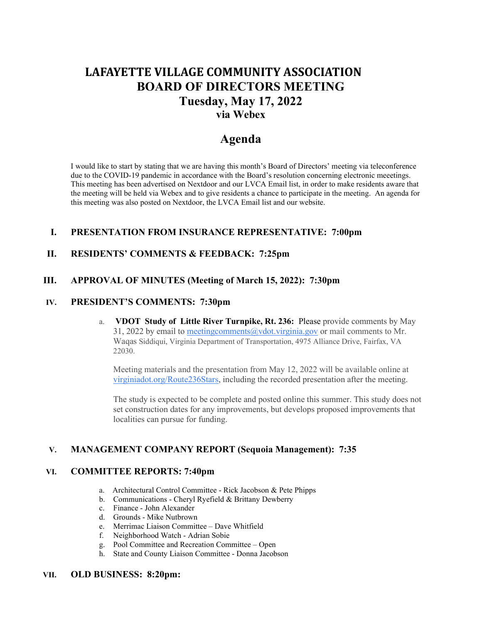# LAFAYETTE VILLAGE COMMUNITY ASSOCIATION BOARD OF DIRECTORS MEETING Tuesday, May 17, 2022 via Webex

# Agenda

I would like to start by stating that we are having this month's Board of Directors' meeting via teleconference due to the COVID-19 pandemic in accordance with the Board's resolution concerning electronic meeetings. This meeting has been advertised on Nextdoor and our LVCA Email list, in order to make residents aware that the meeting will be held via Webex and to give residents a chance to participate in the meeting. An agenda for this meeting was also posted on Nextdoor, the LVCA Email list and our website.

## I. PRESENTATION FROM INSURANCE REPRESENTATIVE: 7:00pm

## II. RESIDENTS' COMMENTS & FEEDBACK: 7:25pm

### III. APPROVAL OF MINUTES (Meeting of March 15, 2022): 7:30pm

#### IV. PRESIDENT'S COMMENTS: 7:30pm

a. VDOT Study of Little River Turnpike, Rt. 236: Please provide comments by May 31, 2022 by email to meeting comments  $\omega$  vdot. virginia.gov or mail comments to Mr. Waqas Siddiqui, Virginia Department of Transportation, 4975 Alliance Drive, Fairfax, VA 22030.

Meeting materials and the presentation from May 12, 2022 will be available online at virginiadot.org/Route236Stars, including the recorded presentation after the meeting.

The study is expected to be complete and posted online this summer. This study does not set construction dates for any improvements, but develops proposed improvements that localities can pursue for funding.

# V. MANAGEMENT COMPANY REPORT (Sequoia Management): 7:35

#### VI. COMMITTEE REPORTS: 7:40pm

- a. Architectural Control Committee Rick Jacobson & Pete Phipps
- b. Communications Cheryl Ryefield & Brittany Dewberry
- c. Finance John Alexander
- d. Grounds Mike Nutbrown
- e. Merrimac Liaison Committee Dave Whitfield
- Neighborhood Watch Adrian Sobie
- g. Pool Committee and Recreation Committee Open
- h. State and County Liaison Committee Donna Jacobson

## VII. OLD BUSINESS: 8:20pm: